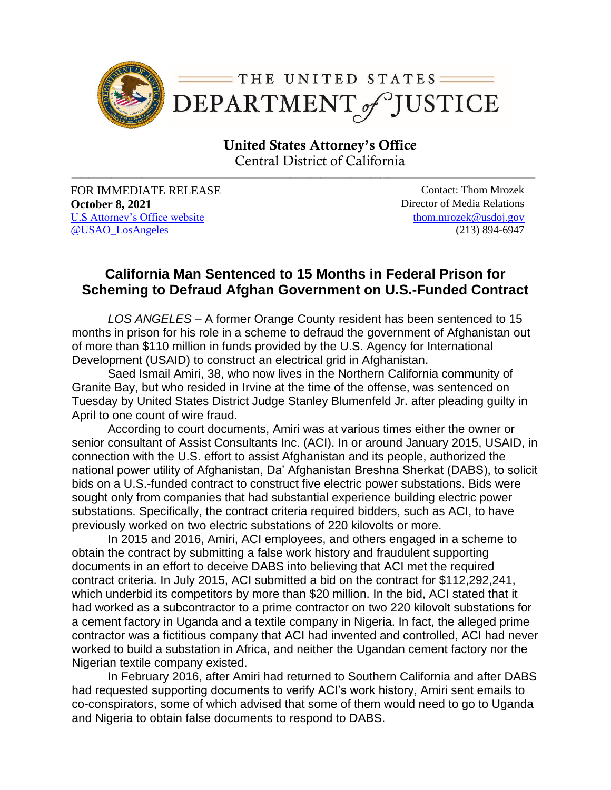

United States Attorney's Office Central District of California

**\_\_\_\_\_\_\_\_\_\_\_\_\_\_\_\_\_\_\_\_\_\_\_\_\_\_\_\_\_\_\_\_\_\_\_\_\_\_\_\_\_\_\_\_\_\_\_\_\_\_\_\_\_\_\_\_\_\_\_\_\_\_\_\_\_\_\_\_\_\_\_\_\_\_\_\_\_\_\_\_\_\_\_\_\_\_\_\_\_\_\_\_\_\_\_\_\_\_\_\_\_\_\_\_\_\_\_\_\_\_\_\_\_\_\_\_\_\_\_\_\_\_\_\_\_\_\_\_\_\_\_\_\_\_\_\_\_\_\_\_\_\_\_\_\_\_\_\_\_\_\_\_\_\_\_\_\_\_\_\_\_\_\_\_\_\_\_\_\_\_\_\_\_\_\_\_\_\_\_\_\_\_\_\_\_\_**

FOR IMMEDIATE RELEASE Contact: Thom Mrozek **October 8, 2021** Director of Media Relations [U.S Attorney's Office website](https://www.justice.gov/usao-cdca) [@USAO\\_LosAngeles](https://twitter.com/USAO_LosAngeles)

[thom.mrozek@usdoj.gov](mailto:thom.mrozek@usdoj.gov) (213) 894-6947

## **California Man Sentenced to 15 Months in Federal Prison for Scheming to Defraud Afghan Government on U.S.-Funded Contract**

*LOS ANGELES* – A former Orange County resident has been sentenced to 15 months in prison for his role in a scheme to defraud the government of Afghanistan out of more than \$110 million in funds provided by the U.S. Agency for International Development (USAID) to construct an electrical grid in Afghanistan.

Saed Ismail Amiri, 38, who now lives in the Northern California community of Granite Bay, but who resided in Irvine at the time of the offense, was sentenced on Tuesday by United States District Judge Stanley Blumenfeld Jr. after pleading guilty in April to one count of wire fraud.

According to court documents, Amiri was at various times either the owner or senior consultant of Assist Consultants Inc. (ACI). In or around January 2015, USAID, in connection with the U.S. effort to assist Afghanistan and its people, authorized the national power utility of Afghanistan, Da' Afghanistan Breshna Sherkat (DABS), to solicit bids on a U.S.-funded contract to construct five electric power substations. Bids were sought only from companies that had substantial experience building electric power substations. Specifically, the contract criteria required bidders, such as ACI, to have previously worked on two electric substations of 220 kilovolts or more.

In 2015 and 2016, Amiri, ACI employees, and others engaged in a scheme to obtain the contract by submitting a false work history and fraudulent supporting documents in an effort to deceive DABS into believing that ACI met the required contract criteria. In July 2015, ACI submitted a bid on the contract for \$112,292,241, which underbid its competitors by more than \$20 million. In the bid, ACI stated that it had worked as a subcontractor to a prime contractor on two 220 kilovolt substations for a cement factory in Uganda and a textile company in Nigeria. In fact, the alleged prime contractor was a fictitious company that ACI had invented and controlled, ACI had never worked to build a substation in Africa, and neither the Ugandan cement factory nor the Nigerian textile company existed.

In February 2016, after Amiri had returned to Southern California and after DABS had requested supporting documents to verify ACI's work history, Amiri sent emails to co-conspirators, some of which advised that some of them would need to go to Uganda and Nigeria to obtain false documents to respond to DABS.